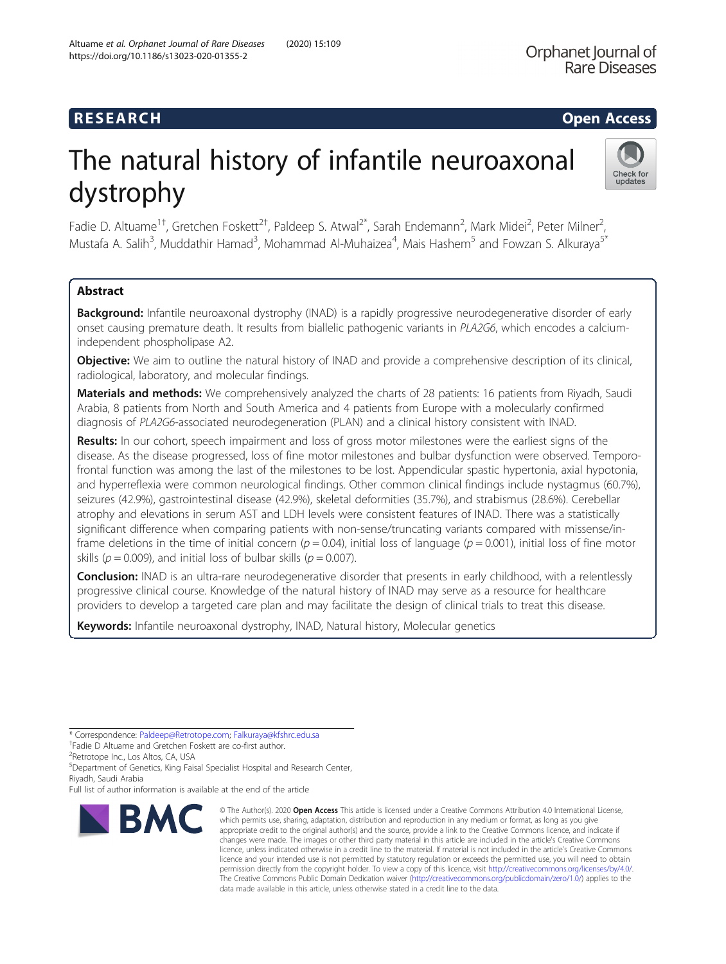## **RESEARCH CHEAR CHEAR CHEAR CHEAR CHEAR CHEAR CHEAR CHEAR CHEAR CHEAR CHEAR CHEAR CHEAR CHEAR CHEAR CHEAR CHEAR**

# The natural history of infantile neuroaxonal dystrophy



Fadie D. Altuame<sup>1+</sup>, Gretchen Foskett<sup>2†</sup>, Paldeep S. Atwal<sup>2\*</sup>, Sarah Endemann<sup>2</sup>, Mark Midei<sup>2</sup>, Peter Milner<sup>2</sup> , Mustafa A. Salih<sup>3</sup>, Muddathir Hamad<sup>3</sup>, Mohammad Al-Muhaizea<sup>4</sup>, Mais Hashem<sup>5</sup> and Fowzan S. Alkuraya<sup>5\*</sup>

### Abstract

Background: Infantile neuroaxonal dystrophy (INAD) is a rapidly progressive neurodegenerative disorder of early onset causing premature death. It results from biallelic pathogenic variants in PLA2G6, which encodes a calciumindependent phospholipase A2.

**Objective:** We aim to outline the natural history of INAD and provide a comprehensive description of its clinical, radiological, laboratory, and molecular findings.

Materials and methods: We comprehensively analyzed the charts of 28 patients: 16 patients from Riyadh, Saudi Arabia, 8 patients from North and South America and 4 patients from Europe with a molecularly confirmed diagnosis of PLA2G6-associated neurodegeneration (PLAN) and a clinical history consistent with INAD.

Results: In our cohort, speech impairment and loss of gross motor milestones were the earliest signs of the disease. As the disease progressed, loss of fine motor milestones and bulbar dysfunction were observed. Temporofrontal function was among the last of the milestones to be lost. Appendicular spastic hypertonia, axial hypotonia, and hyperreflexia were common neurological findings. Other common clinical findings include nystagmus (60.7%), seizures (42.9%), gastrointestinal disease (42.9%), skeletal deformities (35.7%), and strabismus (28.6%). Cerebellar atrophy and elevations in serum AST and LDH levels were consistent features of INAD. There was a statistically significant difference when comparing patients with non-sense/truncating variants compared with missense/inframe deletions in the time of initial concern ( $p = 0.04$ ), initial loss of language ( $p = 0.001$ ), initial loss of fine motor skills ( $p = 0.009$ ), and initial loss of bulbar skills ( $p = 0.007$ ).

**Conclusion:** INAD is an ultra-rare neurodegenerative disorder that presents in early childhood, with a relentlessly progressive clinical course. Knowledge of the natural history of INAD may serve as a resource for healthcare providers to develop a targeted care plan and may facilitate the design of clinical trials to treat this disease.

Keywords: Infantile neuroaxonal dystrophy, INAD, Natural history, Molecular genetics

\* Correspondence: [Paldeep@Retrotope.com](mailto:Paldeep@Retrotope.com); [Falkuraya@kfshrc.edu.sa](mailto:Falkuraya@kfshrc.edu.sa) †

<sup>2</sup>Retrotope Inc., Los Altos, CA, USA

<sup>5</sup>Department of Genetics, King Faisal Specialist Hospital and Research Center, Riyadh, Saudi Arabia

Full list of author information is available at the end of the article



<sup>©</sup> The Author(s), 2020 **Open Access** This article is licensed under a Creative Commons Attribution 4.0 International License, which permits use, sharing, adaptation, distribution and reproduction in any medium or format, as long as you give appropriate credit to the original author(s) and the source, provide a link to the Creative Commons licence, and indicate if changes were made. The images or other third party material in this article are included in the article's Creative Commons licence, unless indicated otherwise in a credit line to the material. If material is not included in the article's Creative Commons licence and your intended use is not permitted by statutory regulation or exceeds the permitted use, you will need to obtain permission directly from the copyright holder. To view a copy of this licence, visit [http://creativecommons.org/licenses/by/4.0/.](http://creativecommons.org/licenses/by/4.0/) The Creative Commons Public Domain Dedication waiver [\(http://creativecommons.org/publicdomain/zero/1.0/](http://creativecommons.org/publicdomain/zero/1.0/)) applies to the data made available in this article, unless otherwise stated in a credit line to the data.

Fadie D Altuame and Gretchen Foskett are co-first author.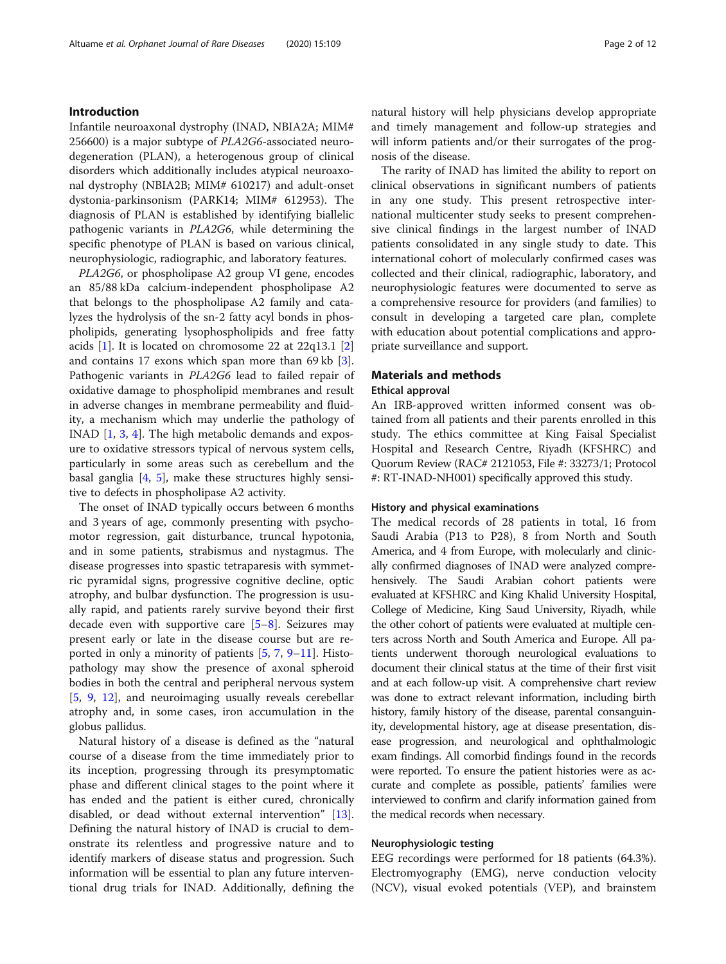#### Introduction

Infantile neuroaxonal dystrophy (INAD, NBIA2A; MIM# 256600) is a major subtype of PLA2G6-associated neurodegeneration (PLAN), a heterogenous group of clinical disorders which additionally includes atypical neuroaxonal dystrophy (NBIA2B; MIM# 610217) and adult-onset dystonia-parkinsonism (PARK14; MIM# 612953). The diagnosis of PLAN is established by identifying biallelic pathogenic variants in PLA2G6, while determining the specific phenotype of PLAN is based on various clinical, neurophysiologic, radiographic, and laboratory features.

PLA2G6, or phospholipase A2 group VI gene, encodes an 85/88 kDa calcium-independent phospholipase A2 that belongs to the phospholipase A2 family and catalyzes the hydrolysis of the sn-2 fatty acyl bonds in phospholipids, generating lysophospholipids and free fatty acids  $[1]$  $[1]$  $[1]$ . It is located on chromosome 22 at 22q13.1  $[2]$  $[2]$ and contains 17 exons which span more than 69 kb [\[3](#page-10-0)]. Pathogenic variants in PLA2G6 lead to failed repair of oxidative damage to phospholipid membranes and result in adverse changes in membrane permeability and fluidity, a mechanism which may underlie the pathology of INAD [[1,](#page-10-0) [3](#page-10-0), [4](#page-10-0)]. The high metabolic demands and exposure to oxidative stressors typical of nervous system cells, particularly in some areas such as cerebellum and the basal ganglia [[4,](#page-10-0) [5\]](#page-10-0), make these structures highly sensitive to defects in phospholipase A2 activity.

The onset of INAD typically occurs between 6 months and 3 years of age, commonly presenting with psychomotor regression, gait disturbance, truncal hypotonia, and in some patients, strabismus and nystagmus. The disease progresses into spastic tetraparesis with symmetric pyramidal signs, progressive cognitive decline, optic atrophy, and bulbar dysfunction. The progression is usually rapid, and patients rarely survive beyond their first decade even with supportive care  $[5-8]$  $[5-8]$  $[5-8]$ . Seizures may present early or late in the disease course but are reported in only a minority of patients [[5,](#page-10-0) [7](#page-10-0), [9](#page-10-0)–[11](#page-10-0)]. Histopathology may show the presence of axonal spheroid bodies in both the central and peripheral nervous system [[5,](#page-10-0) [9,](#page-10-0) [12\]](#page-10-0), and neuroimaging usually reveals cerebellar atrophy and, in some cases, iron accumulation in the globus pallidus.

Natural history of a disease is defined as the "natural course of a disease from the time immediately prior to its inception, progressing through its presymptomatic phase and different clinical stages to the point where it has ended and the patient is either cured, chronically disabled, or dead without external intervention" [\[13](#page-10-0)]. Defining the natural history of INAD is crucial to demonstrate its relentless and progressive nature and to identify markers of disease status and progression. Such information will be essential to plan any future interventional drug trials for INAD. Additionally, defining the natural history will help physicians develop appropriate and timely management and follow-up strategies and will inform patients and/or their surrogates of the prognosis of the disease.

The rarity of INAD has limited the ability to report on clinical observations in significant numbers of patients in any one study. This present retrospective international multicenter study seeks to present comprehensive clinical findings in the largest number of INAD patients consolidated in any single study to date. This international cohort of molecularly confirmed cases was collected and their clinical, radiographic, laboratory, and neurophysiologic features were documented to serve as a comprehensive resource for providers (and families) to consult in developing a targeted care plan, complete with education about potential complications and appropriate surveillance and support.

#### Materials and methods

#### Ethical approval

An IRB-approved written informed consent was obtained from all patients and their parents enrolled in this study. The ethics committee at King Faisal Specialist Hospital and Research Centre, Riyadh (KFSHRC) and Quorum Review (RAC# 2121053, File #: 33273/1; Protocol #: RT-INAD-NH001) specifically approved this study.

#### History and physical examinations

The medical records of 28 patients in total, 16 from Saudi Arabia (P13 to P28), 8 from North and South America, and 4 from Europe, with molecularly and clinically confirmed diagnoses of INAD were analyzed comprehensively. The Saudi Arabian cohort patients were evaluated at KFSHRC and King Khalid University Hospital, College of Medicine, King Saud University, Riyadh, while the other cohort of patients were evaluated at multiple centers across North and South America and Europe. All patients underwent thorough neurological evaluations to document their clinical status at the time of their first visit and at each follow-up visit. A comprehensive chart review was done to extract relevant information, including birth history, family history of the disease, parental consanguinity, developmental history, age at disease presentation, disease progression, and neurological and ophthalmologic exam findings. All comorbid findings found in the records were reported. To ensure the patient histories were as accurate and complete as possible, patients' families were interviewed to confirm and clarify information gained from the medical records when necessary.

#### Neurophysiologic testing

EEG recordings were performed for 18 patients (64.3%). Electromyography (EMG), nerve conduction velocity (NCV), visual evoked potentials (VEP), and brainstem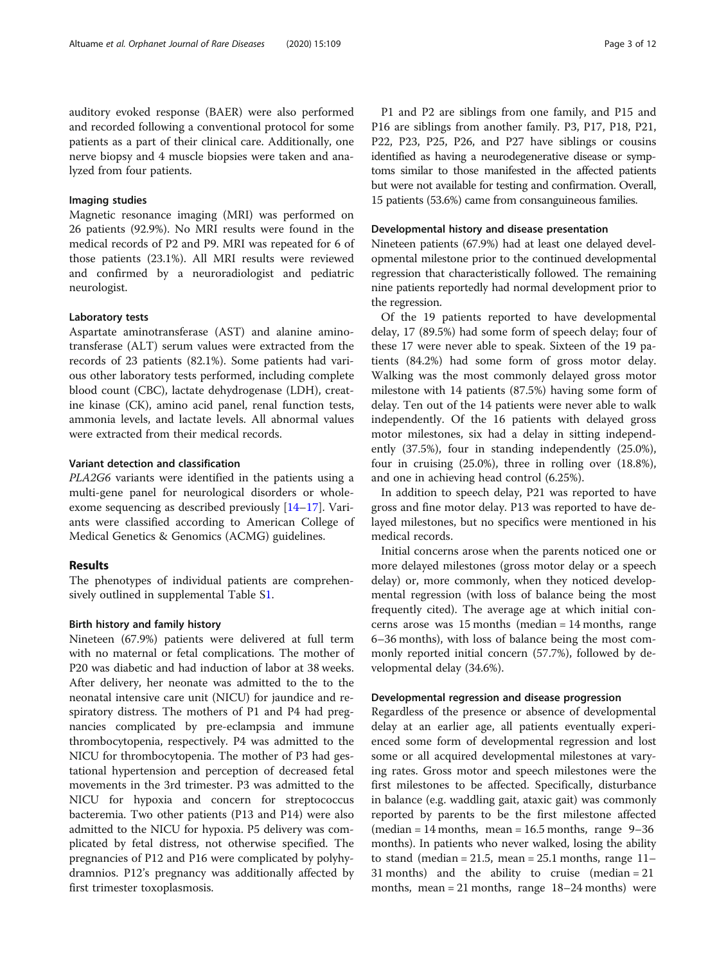auditory evoked response (BAER) were also performed and recorded following a conventional protocol for some patients as a part of their clinical care. Additionally, one nerve biopsy and 4 muscle biopsies were taken and analyzed from four patients.

#### Imaging studies

Magnetic resonance imaging (MRI) was performed on 26 patients (92.9%). No MRI results were found in the medical records of P2 and P9. MRI was repeated for 6 of those patients (23.1%). All MRI results were reviewed and confirmed by a neuroradiologist and pediatric neurologist.

#### Laboratory tests

Aspartate aminotransferase (AST) and alanine aminotransferase (ALT) serum values were extracted from the records of 23 patients (82.1%). Some patients had various other laboratory tests performed, including complete blood count (CBC), lactate dehydrogenase (LDH), creatine kinase (CK), amino acid panel, renal function tests, ammonia levels, and lactate levels. All abnormal values were extracted from their medical records.

#### Variant detection and classification

PLA2G6 variants were identified in the patients using a multi-gene panel for neurological disorders or wholeexome sequencing as described previously [[14](#page-10-0)–[17](#page-10-0)]. Variants were classified according to American College of Medical Genetics & Genomics (ACMG) guidelines.

#### Results

The phenotypes of individual patients are comprehensively outlined in supplemental Table S[1.](#page-9-0)

#### Birth history and family history

Nineteen (67.9%) patients were delivered at full term with no maternal or fetal complications. The mother of P20 was diabetic and had induction of labor at 38 weeks. After delivery, her neonate was admitted to the to the neonatal intensive care unit (NICU) for jaundice and respiratory distress. The mothers of P1 and P4 had pregnancies complicated by pre-eclampsia and immune thrombocytopenia, respectively. P4 was admitted to the NICU for thrombocytopenia. The mother of P3 had gestational hypertension and perception of decreased fetal movements in the 3rd trimester. P3 was admitted to the NICU for hypoxia and concern for streptococcus bacteremia. Two other patients (P13 and P14) were also admitted to the NICU for hypoxia. P5 delivery was complicated by fetal distress, not otherwise specified. The pregnancies of P12 and P16 were complicated by polyhydramnios. P12's pregnancy was additionally affected by first trimester toxoplasmosis.

P1 and P2 are siblings from one family, and P15 and P16 are siblings from another family. P3, P17, P18, P21, P22, P23, P25, P26, and P27 have siblings or cousins identified as having a neurodegenerative disease or symptoms similar to those manifested in the affected patients but were not available for testing and confirmation. Overall, 15 patients (53.6%) came from consanguineous families.

#### Developmental history and disease presentation

Nineteen patients (67.9%) had at least one delayed developmental milestone prior to the continued developmental regression that characteristically followed. The remaining nine patients reportedly had normal development prior to the regression.

Of the 19 patients reported to have developmental delay, 17 (89.5%) had some form of speech delay; four of these 17 were never able to speak. Sixteen of the 19 patients (84.2%) had some form of gross motor delay. Walking was the most commonly delayed gross motor milestone with 14 patients (87.5%) having some form of delay. Ten out of the 14 patients were never able to walk independently. Of the 16 patients with delayed gross motor milestones, six had a delay in sitting independently (37.5%), four in standing independently (25.0%), four in cruising (25.0%), three in rolling over (18.8%), and one in achieving head control (6.25%).

In addition to speech delay, P21 was reported to have gross and fine motor delay. P13 was reported to have delayed milestones, but no specifics were mentioned in his medical records.

Initial concerns arose when the parents noticed one or more delayed milestones (gross motor delay or a speech delay) or, more commonly, when they noticed developmental regression (with loss of balance being the most frequently cited). The average age at which initial concerns arose was 15 months (median = 14 months, range 6–36 months), with loss of balance being the most commonly reported initial concern (57.7%), followed by developmental delay (34.6%).

#### Developmental regression and disease progression

Regardless of the presence or absence of developmental delay at an earlier age, all patients eventually experienced some form of developmental regression and lost some or all acquired developmental milestones at varying rates. Gross motor and speech milestones were the first milestones to be affected. Specifically, disturbance in balance (e.g. waddling gait, ataxic gait) was commonly reported by parents to be the first milestone affected (median =  $14$  months, mean =  $16.5$  months, range  $9-36$ months). In patients who never walked, losing the ability to stand (median = 21.5, mean = 25.1 months, range  $11-$ 31 months) and the ability to cruise (median = 21 months, mean  $= 21$  months, range  $18-24$  months) were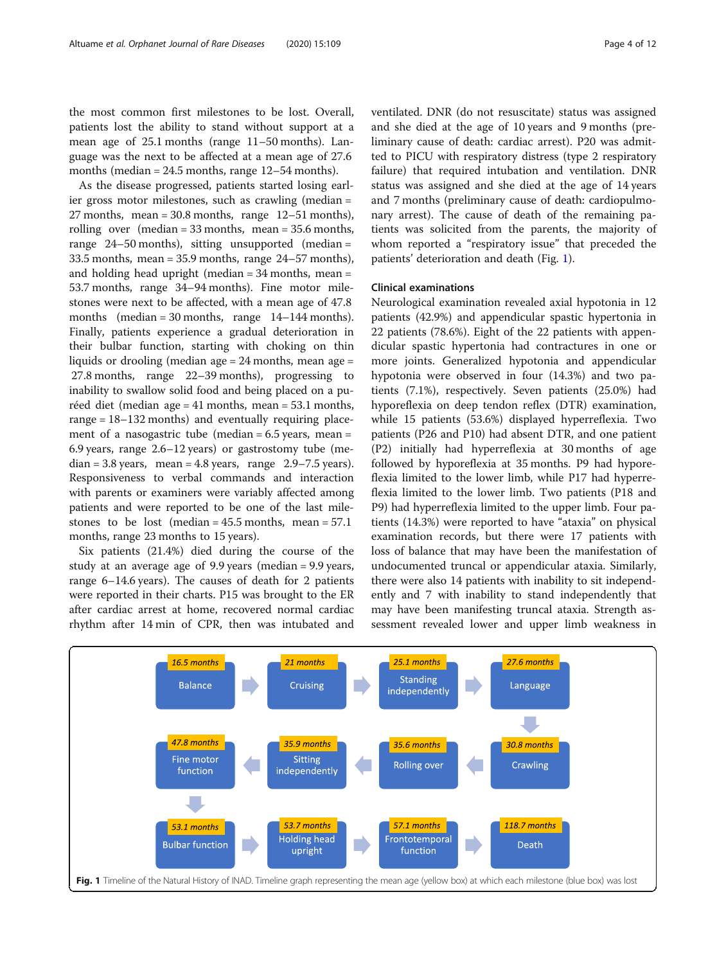the most common first milestones to be lost. Overall, patients lost the ability to stand without support at a mean age of 25.1 months (range 11–50 months). Language was the next to be affected at a mean age of 27.6 months (median = 24.5 months, range 12–54 months).

As the disease progressed, patients started losing earlier gross motor milestones, such as crawling (median = 27 months, mean =  $30.8$  months, range 12–51 months), rolling over (median = 33 months, mean = 35.6 months, range 24–50 months), sitting unsupported (median = 33.5 months, mean = 35.9 months, range 24–57 months), and holding head upright (median = 34 months, mean = 53.7 months, range 34–94 months). Fine motor milestones were next to be affected, with a mean age of 47.8 months (median =  $30$  months, range 14–144 months). Finally, patients experience a gradual deterioration in their bulbar function, starting with choking on thin liquids or drooling (median age = 24 months, mean age = 27.8 months, range 22–39 months), progressing to inability to swallow solid food and being placed on a puréed diet (median age = 41 months, mean = 53.1 months, range = 18–132 months) and eventually requiring placement of a nasogastric tube (median  $= 6.5$  years, mean  $=$ 6.9 years, range 2.6–12 years) or gastrostomy tube (median = 3.8 years, mean = 4.8 years, range  $2.9 - 7.5$  years). Responsiveness to verbal commands and interaction with parents or examiners were variably affected among patients and were reported to be one of the last milestones to be lost (median =  $45.5$  months, mean =  $57.1$ ) months, range 23 months to 15 years).

Six patients (21.4%) died during the course of the study at an average age of 9.9 years (median = 9.9 years, range 6–14.6 years). The causes of death for 2 patients were reported in their charts. P15 was brought to the ER after cardiac arrest at home, recovered normal cardiac rhythm after 14 min of CPR, then was intubated and ventilated. DNR (do not resuscitate) status was assigned and she died at the age of 10 years and 9 months (preliminary cause of death: cardiac arrest). P20 was admitted to PICU with respiratory distress (type 2 respiratory failure) that required intubation and ventilation. DNR status was assigned and she died at the age of 14 years and 7 months (preliminary cause of death: cardiopulmonary arrest). The cause of death of the remaining patients was solicited from the parents, the majority of whom reported a "respiratory issue" that preceded the patients' deterioration and death (Fig. 1).

#### Clinical examinations

Neurological examination revealed axial hypotonia in 12 patients (42.9%) and appendicular spastic hypertonia in 22 patients (78.6%). Eight of the 22 patients with appendicular spastic hypertonia had contractures in one or more joints. Generalized hypotonia and appendicular hypotonia were observed in four (14.3%) and two patients (7.1%), respectively. Seven patients (25.0%) had hyporeflexia on deep tendon reflex (DTR) examination, while 15 patients (53.6%) displayed hyperreflexia. Two patients (P26 and P10) had absent DTR, and one patient (P2) initially had hyperreflexia at 30 months of age followed by hyporeflexia at 35 months. P9 had hyporeflexia limited to the lower limb, while P17 had hyperreflexia limited to the lower limb. Two patients (P18 and P9) had hyperreflexia limited to the upper limb. Four patients (14.3%) were reported to have "ataxia" on physical examination records, but there were 17 patients with loss of balance that may have been the manifestation of undocumented truncal or appendicular ataxia. Similarly, there were also 14 patients with inability to sit independently and 7 with inability to stand independently that may have been manifesting truncal ataxia. Strength assessment revealed lower and upper limb weakness in

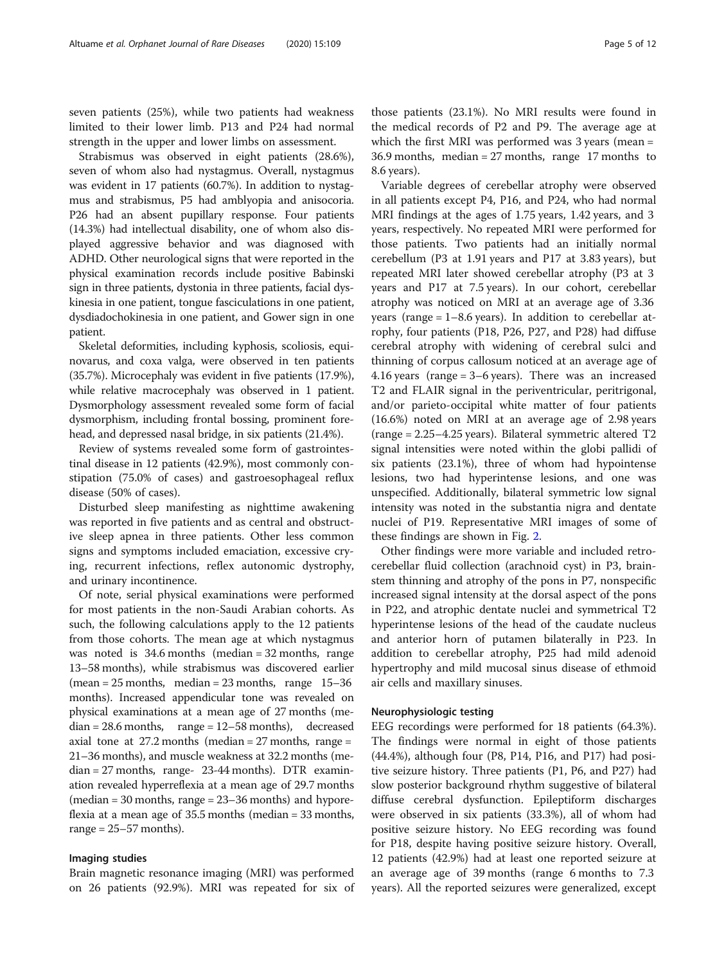seven patients (25%), while two patients had weakness limited to their lower limb. P13 and P24 had normal strength in the upper and lower limbs on assessment.

Strabismus was observed in eight patients (28.6%), seven of whom also had nystagmus. Overall, nystagmus was evident in 17 patients (60.7%). In addition to nystagmus and strabismus, P5 had amblyopia and anisocoria. P26 had an absent pupillary response. Four patients (14.3%) had intellectual disability, one of whom also displayed aggressive behavior and was diagnosed with ADHD. Other neurological signs that were reported in the physical examination records include positive Babinski sign in three patients, dystonia in three patients, facial dyskinesia in one patient, tongue fasciculations in one patient, dysdiadochokinesia in one patient, and Gower sign in one patient.

Skeletal deformities, including kyphosis, scoliosis, equinovarus, and coxa valga, were observed in ten patients (35.7%). Microcephaly was evident in five patients (17.9%), while relative macrocephaly was observed in 1 patient. Dysmorphology assessment revealed some form of facial dysmorphism, including frontal bossing, prominent forehead, and depressed nasal bridge, in six patients (21.4%).

Review of systems revealed some form of gastrointestinal disease in 12 patients (42.9%), most commonly constipation (75.0% of cases) and gastroesophageal reflux disease (50% of cases).

Disturbed sleep manifesting as nighttime awakening was reported in five patients and as central and obstructive sleep apnea in three patients. Other less common signs and symptoms included emaciation, excessive crying, recurrent infections, reflex autonomic dystrophy, and urinary incontinence.

Of note, serial physical examinations were performed for most patients in the non-Saudi Arabian cohorts. As such, the following calculations apply to the 12 patients from those cohorts. The mean age at which nystagmus was noted is 34.6 months (median = 32 months, range 13–58 months), while strabismus was discovered earlier (mean =  $25$  months, median =  $23$  months, range 15–36 months). Increased appendicular tone was revealed on physical examinations at a mean age of 27 months (me $dian = 28.6$  months, range =  $12-58$  months), decreased axial tone at  $27.2$  months (median =  $27$  months, range = 21–36 months), and muscle weakness at 32.2 months (median = 27 months, range- 23-44 months). DTR examination revealed hyperreflexia at a mean age of 29.7 months  $(\text{median} = 30 \text{ months}, \text{range} = 23 - 36 \text{ months})$  and hyporeflexia at a mean age of 35.5 months (median = 33 months, range  $= 25 - 57$  months).

#### Imaging studies

Brain magnetic resonance imaging (MRI) was performed on 26 patients (92.9%). MRI was repeated for six of those patients (23.1%). No MRI results were found in the medical records of P2 and P9. The average age at which the first MRI was performed was 3 years (mean = 36.9 months, median = 27 months, range 17 months to 8.6 years).

Variable degrees of cerebellar atrophy were observed in all patients except P4, P16, and P24, who had normal MRI findings at the ages of 1.75 years, 1.42 years, and 3 years, respectively. No repeated MRI were performed for those patients. Two patients had an initially normal cerebellum (P3 at 1.91 years and P17 at 3.83 years), but repeated MRI later showed cerebellar atrophy (P3 at 3 years and P17 at 7.5 years). In our cohort, cerebellar atrophy was noticed on MRI at an average age of 3.36 years (range  $= 1-8.6$  years). In addition to cerebellar atrophy, four patients (P18, P26, P27, and P28) had diffuse cerebral atrophy with widening of cerebral sulci and thinning of corpus callosum noticed at an average age of 4.16 years (range = 3–6 years). There was an increased T2 and FLAIR signal in the periventricular, peritrigonal, and/or parieto-occipital white matter of four patients (16.6%) noted on MRI at an average age of 2.98 years (range = 2.25–4.25 years). Bilateral symmetric altered T2 signal intensities were noted within the globi pallidi of six patients (23.1%), three of whom had hypointense lesions, two had hyperintense lesions, and one was unspecified. Additionally, bilateral symmetric low signal intensity was noted in the substantia nigra and dentate nuclei of P19. Representative MRI images of some of these findings are shown in Fig. [2](#page-5-0).

Other findings were more variable and included retrocerebellar fluid collection (arachnoid cyst) in P3, brainstem thinning and atrophy of the pons in P7, nonspecific increased signal intensity at the dorsal aspect of the pons in P22, and atrophic dentate nuclei and symmetrical T2 hyperintense lesions of the head of the caudate nucleus and anterior horn of putamen bilaterally in P23. In addition to cerebellar atrophy, P25 had mild adenoid hypertrophy and mild mucosal sinus disease of ethmoid air cells and maxillary sinuses.

#### Neurophysiologic testing

EEG recordings were performed for 18 patients (64.3%). The findings were normal in eight of those patients (44.4%), although four (P8, P14, P16, and P17) had positive seizure history. Three patients (P1, P6, and P27) had slow posterior background rhythm suggestive of bilateral diffuse cerebral dysfunction. Epileptiform discharges were observed in six patients (33.3%), all of whom had positive seizure history. No EEG recording was found for P18, despite having positive seizure history. Overall, 12 patients (42.9%) had at least one reported seizure at an average age of 39 months (range 6 months to 7.3 years). All the reported seizures were generalized, except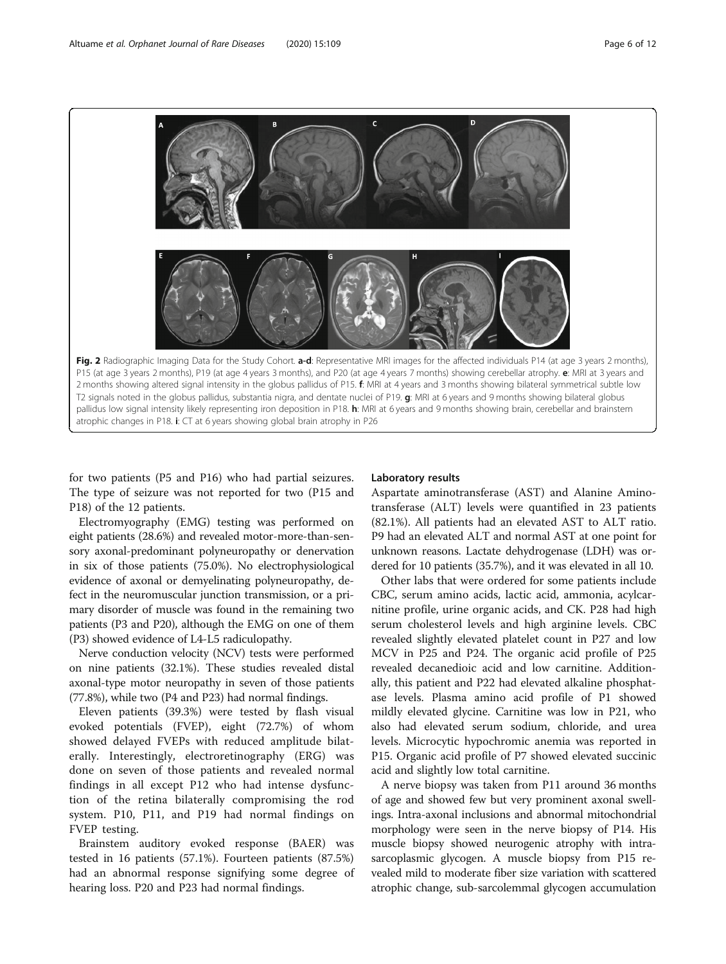<span id="page-5-0"></span>

for two patients (P5 and P16) who had partial seizures. The type of seizure was not reported for two (P15 and P18) of the 12 patients.

Electromyography (EMG) testing was performed on eight patients (28.6%) and revealed motor-more-than-sensory axonal-predominant polyneuropathy or denervation in six of those patients (75.0%). No electrophysiological evidence of axonal or demyelinating polyneuropathy, defect in the neuromuscular junction transmission, or a primary disorder of muscle was found in the remaining two patients (P3 and P20), although the EMG on one of them (P3) showed evidence of L4-L5 radiculopathy.

Nerve conduction velocity (NCV) tests were performed on nine patients (32.1%). These studies revealed distal axonal-type motor neuropathy in seven of those patients (77.8%), while two (P4 and P23) had normal findings.

Eleven patients (39.3%) were tested by flash visual evoked potentials (FVEP), eight (72.7%) of whom showed delayed FVEPs with reduced amplitude bilaterally. Interestingly, electroretinography (ERG) was done on seven of those patients and revealed normal findings in all except P12 who had intense dysfunction of the retina bilaterally compromising the rod system. P10, P11, and P19 had normal findings on FVEP testing.

Brainstem auditory evoked response (BAER) was tested in 16 patients (57.1%). Fourteen patients (87.5%) had an abnormal response signifying some degree of hearing loss. P20 and P23 had normal findings.

#### Laboratory results

Aspartate aminotransferase (AST) and Alanine Aminotransferase (ALT) levels were quantified in 23 patients (82.1%). All patients had an elevated AST to ALT ratio. P9 had an elevated ALT and normal AST at one point for unknown reasons. Lactate dehydrogenase (LDH) was ordered for 10 patients (35.7%), and it was elevated in all 10.

Other labs that were ordered for some patients include CBC, serum amino acids, lactic acid, ammonia, acylcarnitine profile, urine organic acids, and CK. P28 had high serum cholesterol levels and high arginine levels. CBC revealed slightly elevated platelet count in P27 and low MCV in P25 and P24. The organic acid profile of P25 revealed decanedioic acid and low carnitine. Additionally, this patient and P22 had elevated alkaline phosphatase levels. Plasma amino acid profile of P1 showed mildly elevated glycine. Carnitine was low in P21, who also had elevated serum sodium, chloride, and urea levels. Microcytic hypochromic anemia was reported in P15. Organic acid profile of P7 showed elevated succinic acid and slightly low total carnitine.

A nerve biopsy was taken from P11 around 36 months of age and showed few but very prominent axonal swellings. Intra-axonal inclusions and abnormal mitochondrial morphology were seen in the nerve biopsy of P14. His muscle biopsy showed neurogenic atrophy with intrasarcoplasmic glycogen. A muscle biopsy from P15 revealed mild to moderate fiber size variation with scattered atrophic change, sub-sarcolemmal glycogen accumulation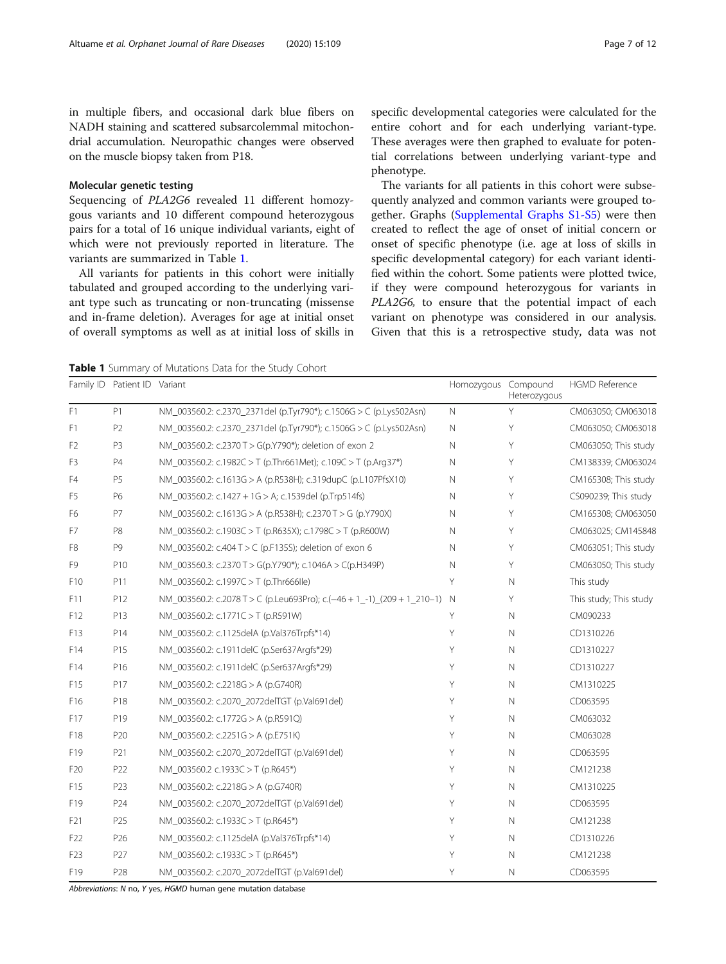in multiple fibers, and occasional dark blue fibers on NADH staining and scattered subsarcolemmal mitochondrial accumulation. Neuropathic changes were observed on the muscle biopsy taken from P18.

#### Molecular genetic testing

Sequencing of PLA2G6 revealed 11 different homozygous variants and 10 different compound heterozygous pairs for a total of 16 unique individual variants, eight of which were not previously reported in literature. The variants are summarized in Table 1.

All variants for patients in this cohort were initially tabulated and grouped according to the underlying variant type such as truncating or non-truncating (missense and in-frame deletion). Averages for age at initial onset of overall symptoms as well as at initial loss of skills in specific developmental categories were calculated for the entire cohort and for each underlying variant-type. These averages were then graphed to evaluate for potential correlations between underlying variant-type and phenotype.

The variants for all patients in this cohort were subsequently analyzed and common variants were grouped together. Graphs [\(Supplemental Graphs S1-S5\)](#page-9-0) were then created to reflect the age of onset of initial concern or onset of specific phenotype (i.e. age at loss of skills in specific developmental category) for each variant identified within the cohort. Some patients were plotted twice, if they were compound heterozygous for variants in PLA2G6, to ensure that the potential impact of each variant on phenotype was considered in our analysis. Given that this is a retrospective study, data was not

Table 1 Summary of Mutations Data for the Study Cohort

|                 | Family ID Patient ID Variant |                                                                           | Homozygous Compound | Heterozygous | <b>HGMD Reference</b>  |
|-----------------|------------------------------|---------------------------------------------------------------------------|---------------------|--------------|------------------------|
| F1              | P1                           | NM 003560.2: c.2370 2371del (p.Tyr790*); c.1506G > C (p.Lys502Asn)        | $\mathsf{N}$        | Y            | CM063050; CM063018     |
| F1              | P <sub>2</sub>               | NM_003560.2: c.2370_2371del (p.Tyr790*); c.1506G > C (p.Lys502Asn)        | $\mathsf{N}$        | Y            | CM063050; CM063018     |
| F <sub>2</sub>  | P3                           | NM_003560.2: c.2370 T > G(p.Y790*); deletion of exon 2                    | $\mathsf{N}$        | Υ            | CM063050; This study   |
| F <sub>3</sub>  | <b>P4</b>                    | NM 003560.2: c.1982C > T (p.Thr661Met); c.109C > T (p.Arg37*)             | $\mathsf{N}$        | Y            | CM138339; CM063024     |
| F4              | P <sub>5</sub>               | NM_003560.2: c.1613G > A (p.R538H); c.319dupC (p.L107PfsX10)              | N                   | Y            | CM165308; This study   |
| F <sub>5</sub>  | P6                           | NM_003560.2: c.1427 + 1G > A; c.1539del (p.Trp514fs)                      | N                   | Υ            | CS090239; This study   |
| F6              | P7                           | NM_003560.2: c.1613G > A (p.R538H); c.2370T > G (p.Y790X)                 | $\mathsf{N}$        | Y            | CM165308; CM063050     |
| F7              | P8                           | NM_003560.2: c.1903C > T (p.R635X); c.1798C > T (p.R600W)                 | Ν                   | Υ            | CM063025; CM145848     |
| F8              | P9                           | NM 003560.2: c.404 T > C (p.F135S); deletion of exon 6                    | N                   | Υ            | CM063051; This study   |
| F9              | P10                          | NM_003560.3: c.2370 T > G(p.Y790*); c.1046A > C(p.H349P)                  | $\mathsf{N}$        | Υ            | CM063050; This study   |
| F10             | P11                          | NM_003560.2: c.1997C > T (p.Thr666lle)                                    | Y                   | $\mathbb N$  | This study             |
| F11             | P12                          | NM 003560.2: c.2078 T > C (p.Leu693Pro); c.(-46 + 1 -1) (209 + 1 210-1) N |                     | Y            | This study; This study |
| F12             | P13                          | NM_003560.2: c.1771C > T (p.R591W)                                        | Y                   | $\mathbb N$  | CM090233               |
| F13             | P14                          | NM_003560.2: c.1125delA (p.Val376Trpfs*14)                                | Y                   | $\mathbb N$  | CD1310226              |
| F14             | P15                          | NM_003560.2: c.1911delC (p.Ser637Argfs*29)                                | Y                   | $\mathbb N$  | CD1310227              |
| F14             | P16                          | NM_003560.2: c.1911delC (p.Ser637Argfs*29)                                | Υ                   | $\mathbb N$  | CD1310227              |
| F15             | P17                          | NM 003560.2: c.2218G > A (p.G740R)                                        | Y                   | $\mathbb N$  | CM1310225              |
| F16             | P18                          | NM_003560.2: c.2070_2072delTGT (p.Val691del)                              | Y                   | $\mathbb N$  | CD063595               |
| F17             | P19                          | NM_003560.2: c.1772G > A (p.R591Q)                                        | Y                   | $\mathbb N$  | CM063032               |
| F18             | P20                          | NM_003560.2: c.2251G > A (p.E751K)                                        | Y                   | $\mathbb N$  | CM063028               |
| F19             | P21                          | NM_003560.2: c.2070_2072delTGT (p.Val691del)                              | Y                   | $\mathbb N$  | CD063595               |
| F <sub>20</sub> | P22                          | NM_003560.2 c.1933C > T (p.R645*)                                         | Y                   | $\mathbb N$  | CM121238               |
| F15             | P23                          | NM_003560.2: c.2218G > A (p.G740R)                                        | Y                   | $\mathbb N$  | CM1310225              |
| F19             | P24                          | NM 003560.2: c.2070 2072delTGT (p.Val691del)                              | Y                   | $\mathbb N$  | CD063595               |
| F21             | P <sub>25</sub>              | NM_003560.2: c.1933C > T (p.R645*)                                        | Y                   | $\mathbb N$  | CM121238               |
| F <sub>22</sub> | P <sub>26</sub>              | NM_003560.2: c.1125delA (p.Val376Trpfs*14)                                | Y                   | $\mathbb N$  | CD1310226              |
| F <sub>23</sub> | P27                          | NM_003560.2: c.1933C > T (p.R645*)                                        | Y                   | $\mathbb N$  | CM121238               |
| F19             | P28                          | NM 003560.2: c.2070 2072delTGT (p.Val691del)                              | Y                   | $\mathbb N$  | CD063595               |

Abbreviations: N no, Y yes, HGMD human gene mutation database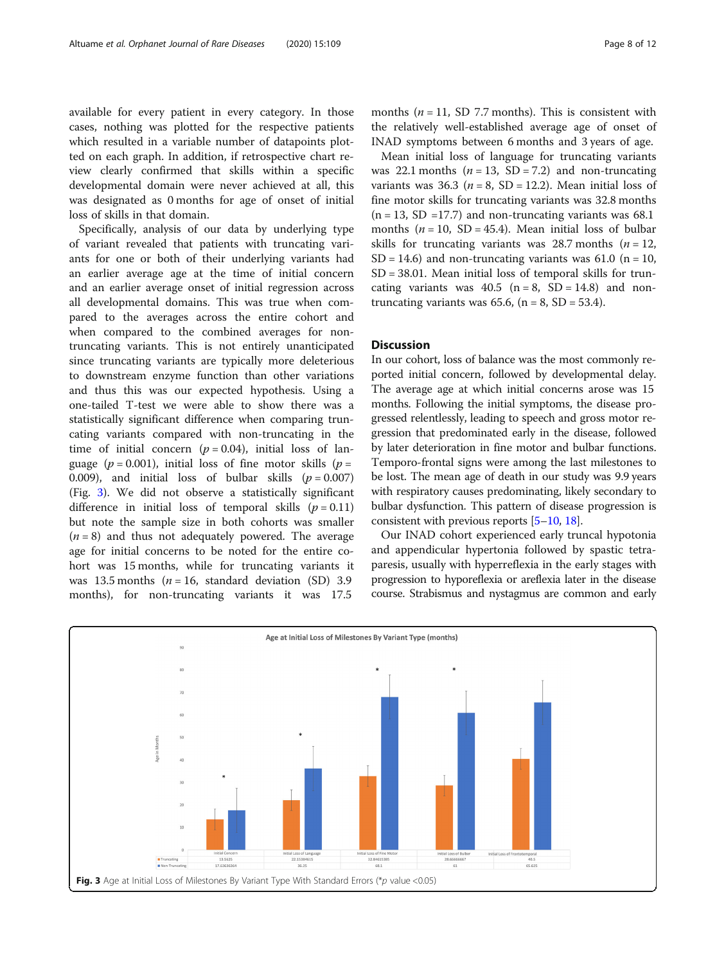available for every patient in every category. In those cases, nothing was plotted for the respective patients which resulted in a variable number of datapoints plotted on each graph. In addition, if retrospective chart review clearly confirmed that skills within a specific developmental domain were never achieved at all, this was designated as 0 months for age of onset of initial loss of skills in that domain.

Specifically, analysis of our data by underlying type of variant revealed that patients with truncating variants for one or both of their underlying variants had an earlier average age at the time of initial concern and an earlier average onset of initial regression across all developmental domains. This was true when compared to the averages across the entire cohort and when compared to the combined averages for nontruncating variants. This is not entirely unanticipated since truncating variants are typically more deleterious to downstream enzyme function than other variations and thus this was our expected hypothesis. Using a one-tailed T-test we were able to show there was a statistically significant difference when comparing truncating variants compared with non-truncating in the time of initial concern ( $p = 0.04$ ), initial loss of language ( $p = 0.001$ ), initial loss of fine motor skills ( $p =$ 0.009), and initial loss of bulbar skills  $(p = 0.007)$ (Fig. 3). We did not observe a statistically significant difference in initial loss of temporal skills  $(p = 0.11)$ but note the sample size in both cohorts was smaller  $(n = 8)$  and thus not adequately powered. The average age for initial concerns to be noted for the entire cohort was 15 months, while for truncating variants it was 13.5 months ( $n = 16$ , standard deviation (SD) 3.9 months), for non-truncating variants it was 17.5

months ( $n = 11$ , SD 7.7 months). This is consistent with the relatively well-established average age of onset of INAD symptoms between 6 months and 3 years of age.

Mean initial loss of language for truncating variants was 22.1 months  $(n = 13, SD = 7.2)$  and non-truncating variants was  $36.3$  ( $n = 8$ , SD = 12.2). Mean initial loss of fine motor skills for truncating variants was 32.8 months  $(n = 13, SD = 17.7)$  and non-truncating variants was 68.1 months ( $n = 10$ , SD = 45.4). Mean initial loss of bulbar skills for truncating variants was 28.7 months ( $n = 12$ ,  $SD = 14.6$ ) and non-truncating variants was 61.0 (n = 10, SD = 38.01. Mean initial loss of temporal skills for truncating variants was  $40.5$  (n = 8, SD = 14.8) and nontruncating variants was  $65.6$ , (n = 8, SD = 53.4).

#### **Discussion**

In our cohort, loss of balance was the most commonly reported initial concern, followed by developmental delay. The average age at which initial concerns arose was 15 months. Following the initial symptoms, the disease progressed relentlessly, leading to speech and gross motor regression that predominated early in the disease, followed by later deterioration in fine motor and bulbar functions. Temporo-frontal signs were among the last milestones to be lost. The mean age of death in our study was 9.9 years with respiratory causes predominating, likely secondary to bulbar dysfunction. This pattern of disease progression is consistent with previous reports [\[5](#page-10-0)–[10,](#page-10-0) [18](#page-10-0)].

Our INAD cohort experienced early truncal hypotonia and appendicular hypertonia followed by spastic tetraparesis, usually with hyperreflexia in the early stages with progression to hyporeflexia or areflexia later in the disease course. Strabismus and nystagmus are common and early

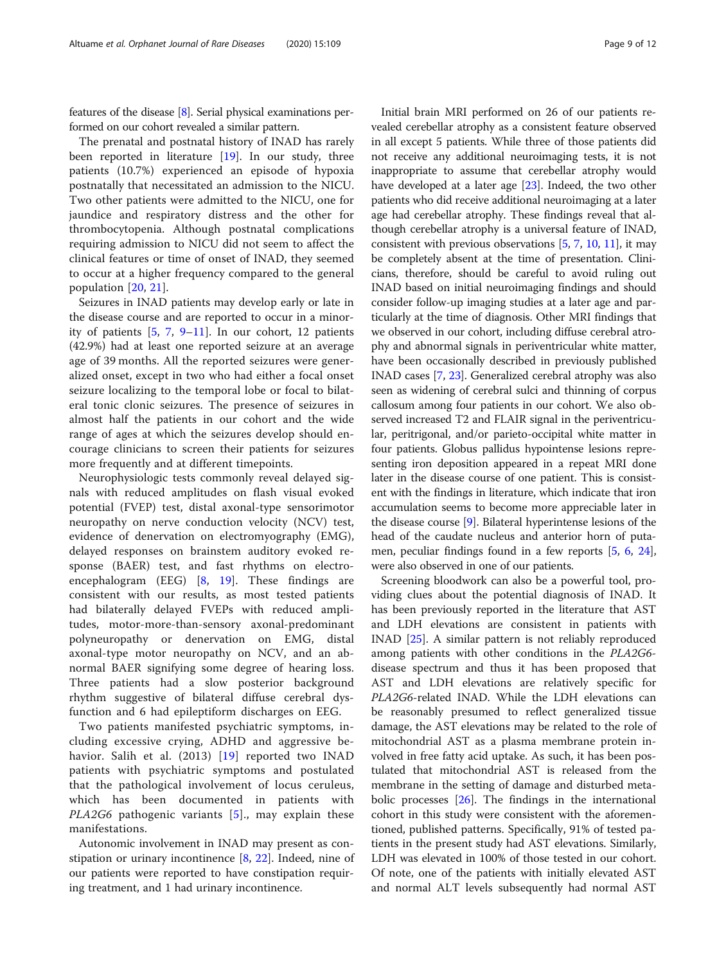features of the disease [[8](#page-10-0)]. Serial physical examinations performed on our cohort revealed a similar pattern.

The prenatal and postnatal history of INAD has rarely been reported in literature [[19](#page-10-0)]. In our study, three patients (10.7%) experienced an episode of hypoxia postnatally that necessitated an admission to the NICU. Two other patients were admitted to the NICU, one for jaundice and respiratory distress and the other for thrombocytopenia. Although postnatal complications requiring admission to NICU did not seem to affect the clinical features or time of onset of INAD, they seemed to occur at a higher frequency compared to the general population [[20,](#page-10-0) [21](#page-10-0)].

Seizures in INAD patients may develop early or late in the disease course and are reported to occur in a minority of patients [\[5,](#page-10-0) [7,](#page-10-0) [9](#page-10-0)–[11](#page-10-0)]. In our cohort, 12 patients (42.9%) had at least one reported seizure at an average age of 39 months. All the reported seizures were generalized onset, except in two who had either a focal onset seizure localizing to the temporal lobe or focal to bilateral tonic clonic seizures. The presence of seizures in almost half the patients in our cohort and the wide range of ages at which the seizures develop should encourage clinicians to screen their patients for seizures more frequently and at different timepoints.

Neurophysiologic tests commonly reveal delayed signals with reduced amplitudes on flash visual evoked potential (FVEP) test, distal axonal-type sensorimotor neuropathy on nerve conduction velocity (NCV) test, evidence of denervation on electromyography (EMG), delayed responses on brainstem auditory evoked response (BAER) test, and fast rhythms on electroencephalogram (EEG) [[8,](#page-10-0) [19\]](#page-10-0). These findings are consistent with our results, as most tested patients had bilaterally delayed FVEPs with reduced amplitudes, motor-more-than-sensory axonal-predominant polyneuropathy or denervation on EMG, distal axonal-type motor neuropathy on NCV, and an abnormal BAER signifying some degree of hearing loss. Three patients had a slow posterior background rhythm suggestive of bilateral diffuse cerebral dysfunction and 6 had epileptiform discharges on EEG.

Two patients manifested psychiatric symptoms, including excessive crying, ADHD and aggressive behavior. Salih et al. (2013) [[19\]](#page-10-0) reported two INAD patients with psychiatric symptoms and postulated that the pathological involvement of locus ceruleus, which has been documented in patients with PLA2G6 pathogenic variants [\[5](#page-10-0)]., may explain these manifestations.

Autonomic involvement in INAD may present as constipation or urinary incontinence [\[8](#page-10-0), [22\]](#page-11-0). Indeed, nine of our patients were reported to have constipation requiring treatment, and 1 had urinary incontinence.

Initial brain MRI performed on 26 of our patients revealed cerebellar atrophy as a consistent feature observed in all except 5 patients. While three of those patients did not receive any additional neuroimaging tests, it is not inappropriate to assume that cerebellar atrophy would have developed at a later age [[23\]](#page-11-0). Indeed, the two other patients who did receive additional neuroimaging at a later age had cerebellar atrophy. These findings reveal that although cerebellar atrophy is a universal feature of INAD, consistent with previous observations  $[5, 7, 10, 11]$  $[5, 7, 10, 11]$  $[5, 7, 10, 11]$  $[5, 7, 10, 11]$  $[5, 7, 10, 11]$  $[5, 7, 10, 11]$  $[5, 7, 10, 11]$  $[5, 7, 10, 11]$ , it may be completely absent at the time of presentation. Clinicians, therefore, should be careful to avoid ruling out INAD based on initial neuroimaging findings and should consider follow-up imaging studies at a later age and particularly at the time of diagnosis. Other MRI findings that we observed in our cohort, including diffuse cerebral atrophy and abnormal signals in periventricular white matter, have been occasionally described in previously published INAD cases [[7](#page-10-0), [23](#page-11-0)]. Generalized cerebral atrophy was also seen as widening of cerebral sulci and thinning of corpus callosum among four patients in our cohort. We also observed increased T2 and FLAIR signal in the periventricular, peritrigonal, and/or parieto-occipital white matter in four patients. Globus pallidus hypointense lesions representing iron deposition appeared in a repeat MRI done later in the disease course of one patient. This is consistent with the findings in literature, which indicate that iron accumulation seems to become more appreciable later in the disease course [\[9\]](#page-10-0). Bilateral hyperintense lesions of the head of the caudate nucleus and anterior horn of putamen, peculiar findings found in a few reports [[5,](#page-10-0) [6,](#page-10-0) [24](#page-11-0)], were also observed in one of our patients.

Screening bloodwork can also be a powerful tool, providing clues about the potential diagnosis of INAD. It has been previously reported in the literature that AST and LDH elevations are consistent in patients with INAD [[25](#page-11-0)]. A similar pattern is not reliably reproduced among patients with other conditions in the PLA2G6 disease spectrum and thus it has been proposed that AST and LDH elevations are relatively specific for PLA2G6-related INAD. While the LDH elevations can be reasonably presumed to reflect generalized tissue damage, the AST elevations may be related to the role of mitochondrial AST as a plasma membrane protein involved in free fatty acid uptake. As such, it has been postulated that mitochondrial AST is released from the membrane in the setting of damage and disturbed metabolic processes [\[26](#page-11-0)]. The findings in the international cohort in this study were consistent with the aforementioned, published patterns. Specifically, 91% of tested patients in the present study had AST elevations. Similarly, LDH was elevated in 100% of those tested in our cohort. Of note, one of the patients with initially elevated AST and normal ALT levels subsequently had normal AST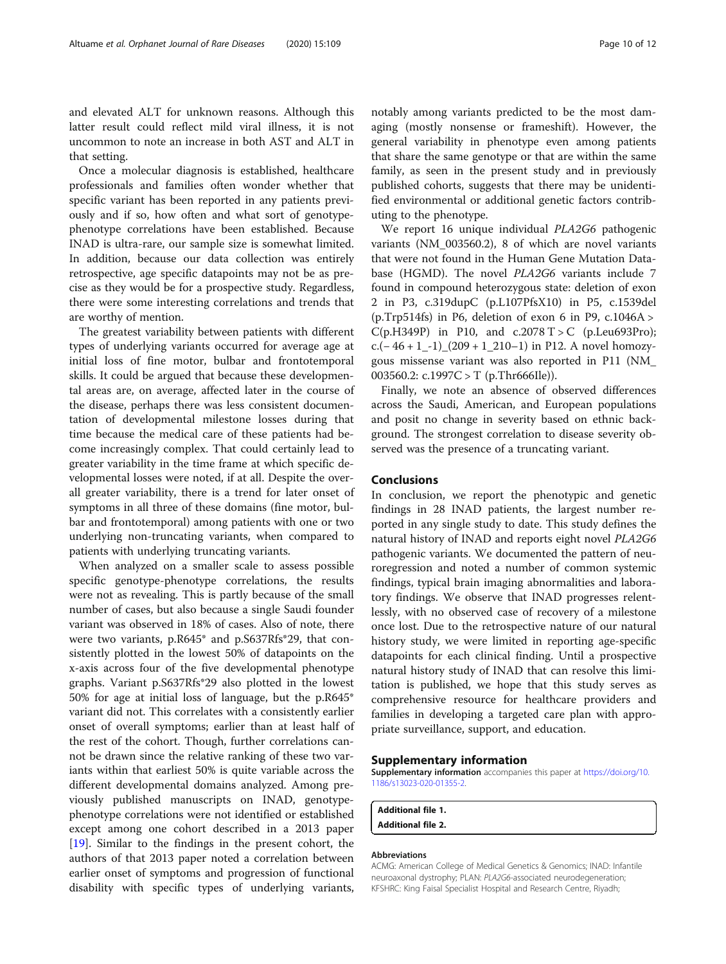<span id="page-9-0"></span>and elevated ALT for unknown reasons. Although this latter result could reflect mild viral illness, it is not uncommon to note an increase in both AST and ALT in that setting.

Once a molecular diagnosis is established, healthcare professionals and families often wonder whether that specific variant has been reported in any patients previously and if so, how often and what sort of genotypephenotype correlations have been established. Because INAD is ultra-rare, our sample size is somewhat limited. In addition, because our data collection was entirely retrospective, age specific datapoints may not be as precise as they would be for a prospective study. Regardless, there were some interesting correlations and trends that are worthy of mention.

The greatest variability between patients with different types of underlying variants occurred for average age at initial loss of fine motor, bulbar and frontotemporal skills. It could be argued that because these developmental areas are, on average, affected later in the course of the disease, perhaps there was less consistent documentation of developmental milestone losses during that time because the medical care of these patients had become increasingly complex. That could certainly lead to greater variability in the time frame at which specific developmental losses were noted, if at all. Despite the overall greater variability, there is a trend for later onset of symptoms in all three of these domains (fine motor, bulbar and frontotemporal) among patients with one or two underlying non-truncating variants, when compared to patients with underlying truncating variants.

When analyzed on a smaller scale to assess possible specific genotype-phenotype correlations, the results were not as revealing. This is partly because of the small number of cases, but also because a single Saudi founder variant was observed in 18% of cases. Also of note, there were two variants, p.R645\* and p.S637Rfs\*29, that consistently plotted in the lowest 50% of datapoints on the x-axis across four of the five developmental phenotype graphs. Variant p.S637Rfs\*29 also plotted in the lowest 50% for age at initial loss of language, but the p.R645\* variant did not. This correlates with a consistently earlier onset of overall symptoms; earlier than at least half of the rest of the cohort. Though, further correlations cannot be drawn since the relative ranking of these two variants within that earliest 50% is quite variable across the different developmental domains analyzed. Among previously published manuscripts on INAD, genotypephenotype correlations were not identified or established except among one cohort described in a 2013 paper [[19\]](#page-10-0). Similar to the findings in the present cohort, the authors of that 2013 paper noted a correlation between earlier onset of symptoms and progression of functional disability with specific types of underlying variants,

notably among variants predicted to be the most damaging (mostly nonsense or frameshift). However, the general variability in phenotype even among patients that share the same genotype or that are within the same family, as seen in the present study and in previously published cohorts, suggests that there may be unidentified environmental or additional genetic factors contributing to the phenotype.

We report 16 unique individual PLA2G6 pathogenic variants (NM\_003560.2), 8 of which are novel variants that were not found in the Human Gene Mutation Database (HGMD). The novel PLA2G6 variants include 7 found in compound heterozygous state: deletion of exon 2 in P3, c.319dupC (p.L107PfsX10) in P5, c.1539del (p.Trp514fs) in P6, deletion of exon 6 in P9,  $c.1046A >$  $C(p.H349P)$  in P10, and  $c.2078 T > C$  (p.Leu693Pro); c.( $-46 + 1$ <sub>−1</sub>)<sub></sub>(209 + 1\_210−1) in P12. A novel homozygous missense variant was also reported in P11 (NM\_ 003560.2:  $c.1997C > T$  (p.Thr666Ile)).

Finally, we note an absence of observed differences across the Saudi, American, and European populations and posit no change in severity based on ethnic background. The strongest correlation to disease severity observed was the presence of a truncating variant.

#### Conclusions

In conclusion, we report the phenotypic and genetic findings in 28 INAD patients, the largest number reported in any single study to date. This study defines the natural history of INAD and reports eight novel PLA2G6 pathogenic variants. We documented the pattern of neuroregression and noted a number of common systemic findings, typical brain imaging abnormalities and laboratory findings. We observe that INAD progresses relentlessly, with no observed case of recovery of a milestone once lost. Due to the retrospective nature of our natural history study, we were limited in reporting age-specific datapoints for each clinical finding. Until a prospective natural history study of INAD that can resolve this limitation is published, we hope that this study serves as comprehensive resource for healthcare providers and families in developing a targeted care plan with appropriate surveillance, support, and education.

#### Supplementary information

Supplementary information accompanies this paper at [https://doi.org/10.](https://doi.org/10.1186/s13023-020-01355-2) [1186/s13023-020-01355-2](https://doi.org/10.1186/s13023-020-01355-2).

Additional file 1. Additional file 2.

#### Abbreviations

ACMG: American College of Medical Genetics & Genomics; INAD: Infantile neuroaxonal dystrophy; PLAN: PLA2G6-associated neurodegeneration; KFSHRC: King Faisal Specialist Hospital and Research Centre, Riyadh;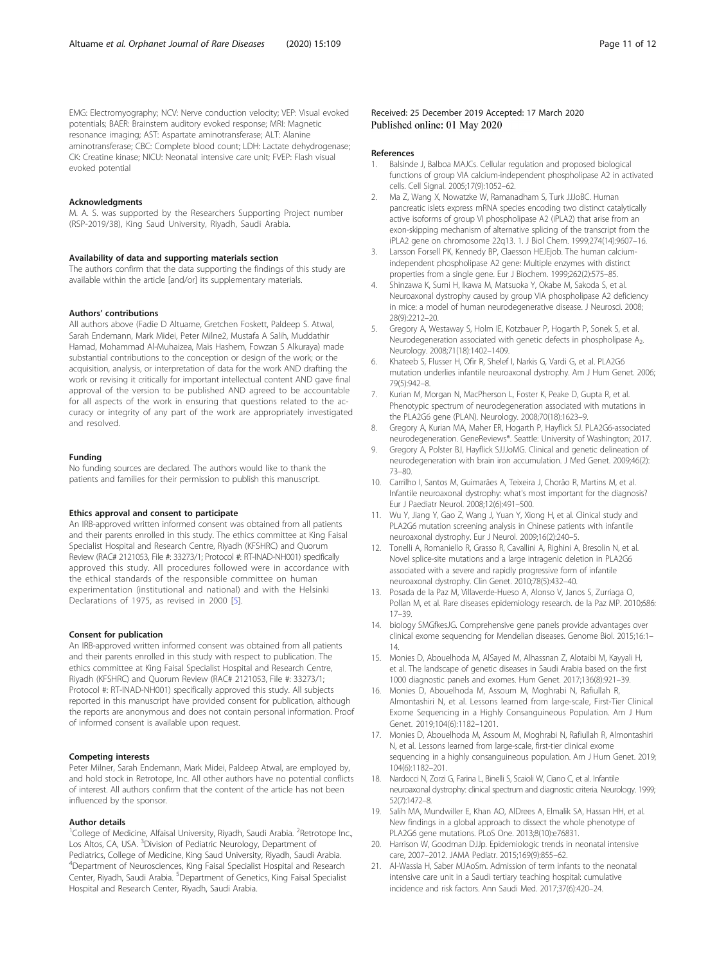<span id="page-10-0"></span>EMG: Electromyography; NCV: Nerve conduction velocity; VEP: Visual evoked potentials; BAER: Brainstem auditory evoked response; MRI: Magnetic resonance imaging; AST: Aspartate aminotransferase; ALT: Alanine aminotransferase; CBC: Complete blood count; LDH: Lactate dehydrogenase; CK: Creatine kinase; NICU: Neonatal intensive care unit; FVEP: Flash visual evoked potential

#### Acknowledgments

M. A. S. was supported by the Researchers Supporting Project number (RSP-2019/38), King Saud University, Riyadh, Saudi Arabia.

#### Availability of data and supporting materials section

The authors confirm that the data supporting the findings of this study are available within the article [and/or] its supplementary materials.

#### Authors' contributions

All authors above (Fadie D Altuame, Gretchen Foskett, Paldeep S. Atwal, Sarah Endemann, Mark Midei, Peter Milne2, Mustafa A Salih, Muddathir Hamad, Mohammad Al-Muhaizea, Mais Hashem, Fowzan S Alkuraya) made substantial contributions to the conception or design of the work; or the acquisition, analysis, or interpretation of data for the work AND drafting the work or revising it critically for important intellectual content AND gave final approval of the version to be published AND agreed to be accountable for all aspects of the work in ensuring that questions related to the accuracy or integrity of any part of the work are appropriately investigated and resolved.

#### Funding

No funding sources are declared. The authors would like to thank the patients and families for their permission to publish this manuscript.

#### Ethics approval and consent to participate

An IRB-approved written informed consent was obtained from all patients and their parents enrolled in this study. The ethics committee at King Faisal Specialist Hospital and Research Centre, Riyadh (KFSHRC) and Quorum Review (RAC# 2121053, File #: 33273/1; Protocol #: RT-INAD-NH001) specifically approved this study. All procedures followed were in accordance with the ethical standards of the responsible committee on human experimentation (institutional and national) and with the Helsinki Declarations of 1975, as revised in 2000 [5].

#### Consent for publication

An IRB-approved written informed consent was obtained from all patients and their parents enrolled in this study with respect to publication. The ethics committee at King Faisal Specialist Hospital and Research Centre, Riyadh (KFSHRC) and Quorum Review (RAC# 2121053, File #: 33273/1; Protocol #: RT-INAD-NH001) specifically approved this study. All subjects reported in this manuscript have provided consent for publication, although the reports are anonymous and does not contain personal information. Proof of informed consent is available upon request.

#### Competing interests

Peter Milner, Sarah Endemann, Mark Midei, Paldeep Atwal, are employed by, and hold stock in Retrotope, Inc. All other authors have no potential conflicts of interest. All authors confirm that the content of the article has not been influenced by the sponsor.

#### Author details

<sup>1</sup>College of Medicine, Alfaisal University, Riyadh, Saudi Arabia. <sup>2</sup>Retrotope Inc., Los Altos, CA, USA. <sup>3</sup> Division of Pediatric Neurology, Department of Pediatrics, College of Medicine, King Saud University, Riyadh, Saudi Arabia. 4 Department of Neurosciences, King Faisal Specialist Hospital and Research Center, Riyadh, Saudi Arabia. <sup>5</sup>Department of Genetics, King Faisal Specialist Hospital and Research Center, Riyadh, Saudi Arabia.

#### Received: 25 December 2019 Accepted: 17 March 2020 Published online: 01 May 2020

#### References

- 1. Balsinde J, Balboa MAJCs. Cellular regulation and proposed biological functions of group VIA calcium-independent phospholipase A2 in activated cells. Cell Signal. 2005;17(9):1052–62.
- 2. Ma Z, Wang X, Nowatzke W, Ramanadham S, Turk JJJoBC. Human pancreatic islets express mRNA species encoding two distinct catalytically active isoforms of group VI phospholipase A2 (iPLA2) that arise from an exon-skipping mechanism of alternative splicing of the transcript from the iPLA2 gene on chromosome 22q13. 1. J Biol Chem. 1999;274(14):9607–16.
- 3. Larsson Forsell PK, Kennedy BP, Claesson HEJEjob. The human calciumindependent phospholipase A2 gene: Multiple enzymes with distinct properties from a single gene. Eur J Biochem. 1999;262(2):575–85.
- 4. Shinzawa K, Sumi H, Ikawa M, Matsuoka Y, Okabe M, Sakoda S, et al. Neuroaxonal dystrophy caused by group VIA phospholipase A2 deficiency in mice: a model of human neurodegenerative disease. J Neurosci. 2008; 28(9):2212–20.
- 5. Gregory A, Westaway S, Holm IE, Kotzbauer P, Hogarth P, Sonek S, et al. Neurodegeneration associated with genetic defects in phospholipase A<sub>2</sub>. Neurology. 2008;71(18):1402–1409.
- 6. Khateeb S, Flusser H, Ofir R, Shelef I, Narkis G, Vardi G, et al. PLA2G6 mutation underlies infantile neuroaxonal dystrophy. Am J Hum Genet. 2006; 79(5):942–8.
- 7. Kurian M, Morgan N, MacPherson L, Foster K, Peake D, Gupta R, et al. Phenotypic spectrum of neurodegeneration associated with mutations in the PLA2G6 gene (PLAN). Neurology. 2008;70(18):1623–9.
- 8. Gregory A, Kurian MA, Maher ER, Hogarth P, Hayflick SJ. PLA2G6-associated neurodegeneration. GeneReviews®. Seattle: University of Washington; 2017.
- 9. Gregory A, Polster BJ, Hayflick SJJJoMG. Clinical and genetic delineation of neurodegeneration with brain iron accumulation. J Med Genet. 2009;46(2): 73–80.
- 10. Carrilho I, Santos M, Guimarães A, Teixeira J, Chorão R, Martins M, et al. Infantile neuroaxonal dystrophy: what's most important for the diagnosis? Eur J Paediatr Neurol. 2008;12(6):491–500.
- 11. Wu Y, Jiang Y, Gao Z, Wang J, Yuan Y, Xiong H, et al. Clinical study and PLA2G6 mutation screening analysis in Chinese patients with infantile neuroaxonal dystrophy. Eur J Neurol. 2009;16(2):240–5.
- 12. Tonelli A, Romaniello R, Grasso R, Cavallini A, Righini A, Bresolin N, et al. Novel splice-site mutations and a large intragenic deletion in PLA2G6 associated with a severe and rapidly progressive form of infantile neuroaxonal dystrophy. Clin Genet. 2010;78(5):432–40.
- 13. Posada de la Paz M, Villaverde-Hueso A, Alonso V, Janos S, Zurriaga O, Pollan M, et al. Rare diseases epidemiology research. de la Paz MP. 2010;686: 17–39.
- 14. biology SMGfkesJG. Comprehensive gene panels provide advantages over clinical exome sequencing for Mendelian diseases. Genome Biol. 2015;16:1– 14.
- 15. Monies D, Abouelhoda M, AlSayed M, Alhassnan Z, Alotaibi M, Kayyali H, et al. The landscape of genetic diseases in Saudi Arabia based on the first 1000 diagnostic panels and exomes. Hum Genet. 2017;136(8):921–39.
- 16. Monies D, Abouelhoda M, Assoum M, Moghrabi N, Rafiullah R, Almontashiri N, et al. Lessons learned from large-scale, First-Tier Clinical Exome Sequencing in a Highly Consanguineous Population. Am J Hum Genet. 2019;104(6):1182–1201.
- 17. Monies D, Abouelhoda M, Assoum M, Moghrabi N, Rafiullah R, Almontashiri N, et al. Lessons learned from large-scale, first-tier clinical exome sequencing in a highly consanguineous population. Am J Hum Genet. 2019; 104(6):1182–201.
- 18. Nardocci N, Zorzi G, Farina L, Binelli S, Scaioli W, Ciano C, et al. Infantile neuroaxonal dystrophy: clinical spectrum and diagnostic criteria. Neurology. 1999; 52(7):1472–8.
- 19. Salih MA, Mundwiller E, Khan AO, AlDrees A, Elmalik SA, Hassan HH, et al. New findings in a global approach to dissect the whole phenotype of PLA2G6 gene mutations. PLoS One. 2013;8(10):e76831.
- 20. Harrison W, Goodman DJJp. Epidemiologic trends in neonatal intensive care, 2007–2012. JAMA Pediatr. 2015;169(9):855–62.
- 21. Al-Wassia H, Saber MJAoSm. Admission of term infants to the neonatal intensive care unit in a Saudi tertiary teaching hospital: cumulative incidence and risk factors. Ann Saudi Med. 2017;37(6):420–24.